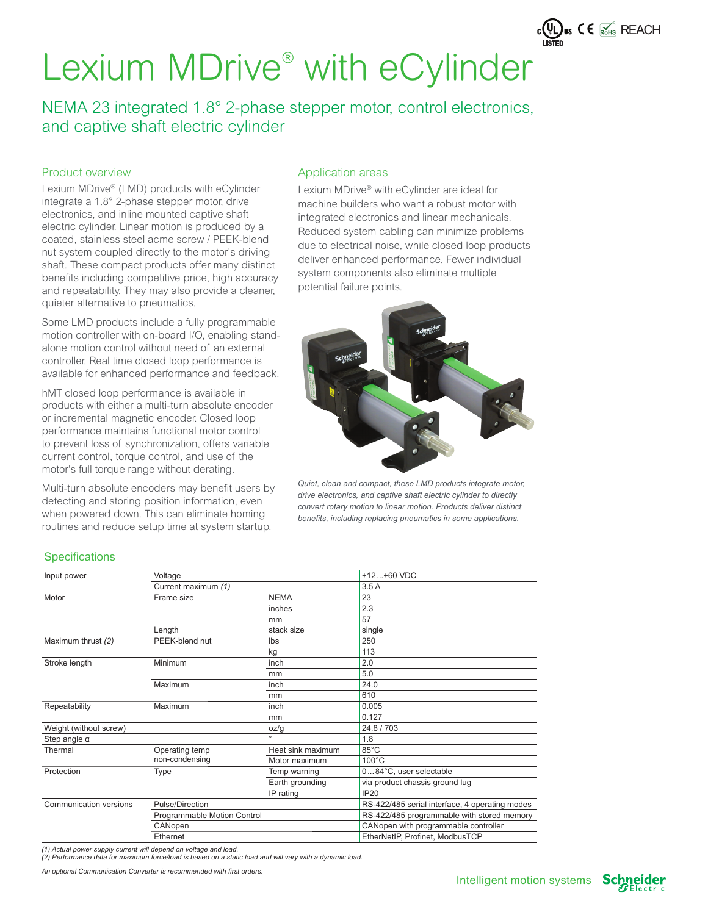NEMA 23 integrated 1.8° 2-phase stepper motor, control electronics, and captive shaft electric cylinder

#### Product overview

Lexium MDrive® (LMD) products with eCylinder integrate a 1.8° 2-phase stepper motor, drive electronics, and inline mounted captive shaft electric cylinder. Linear motion is produced by a coated, stainless steel acme screw / PEEK-blend nut system coupled directly to the motor's driving shaft. These compact products offer many distinct benefits including competitive price, high accuracy and repeatability. They may also provide a cleaner, quieter alternative to pneumatics.

Some LMD products include a fully programmable motion controller with on-board I/O, enabling standalone motion control without need of an external controller. Real time closed loop performance is available for enhanced performance and feedback.

hMT closed loop performance is available in products with either a multi-turn absolute encoder or incremental magnetic encoder. Closed loop performance maintains functional motor control to prevent loss of synchronization, offers variable current control, torque control, and use of the motor's full torque range without derating.

Multi-turn absolute encoders may benefit users by detecting and storing position information, even when powered down. This can eliminate homing routines and reduce setup time at system startup.

#### Application areas

Lexium MDrive® with eCylinder are ideal for machine builders who want a robust motor with integrated electronics and linear mechanicals. Reduced system cabling can minimize problems due to electrical noise, while closed loop products deliver enhanced performance. Fewer individual system components also eliminate multiple potential failure points.



*Quiet, clean and compact, these LMD products integrate motor, drive electronics, and captive shaft electric cylinder to directly convert rotary motion to linear motion. Products deliver distinct*  benefits, including replacing pneumatics in some applications.

### **Specifications**

| Input power            | Voltage                     |                   | $+12+60$ VDC                                   |
|------------------------|-----------------------------|-------------------|------------------------------------------------|
|                        | Current maximum (1)         |                   | 3.5A                                           |
| Motor                  | Frame size                  | <b>NEMA</b>       | 23                                             |
|                        |                             | inches            | 2.3                                            |
|                        |                             | mm                | 57                                             |
|                        | Length                      | stack size        | single                                         |
| Maximum thrust (2)     | PEEK-blend nut              | lbs               | 250                                            |
|                        |                             | kg                | 113                                            |
| Stroke length          | Minimum                     | inch              | 2.0                                            |
|                        |                             | mm                | 5.0                                            |
|                        | Maximum                     | inch              | 24.0                                           |
|                        |                             | mm                | 610                                            |
| Repeatability          | Maximum                     | inch              | 0.005                                          |
|                        |                             | mm                | 0.127                                          |
| Weight (without screw) |                             | oz/g              | 24.8 / 703                                     |
| Step angle $\alpha$    |                             | $\alpha$          | 1.8                                            |
| Thermal                | Operating temp              | Heat sink maximum | 85°C                                           |
|                        | non-condensing              | Motor maximum     | $100^{\circ}$ C                                |
| Protection             | Type                        | Temp warning      | 084°C, user selectable                         |
|                        |                             | Earth grounding   | via product chassis ground lug                 |
|                        |                             | IP rating         | <b>IP20</b>                                    |
| Communication versions | Pulse/Direction             |                   | RS-422/485 serial interface, 4 operating modes |
|                        | Programmable Motion Control |                   | RS-422/485 programmable with stored memory     |
|                        | CANopen                     |                   | CANopen with programmable controller           |
|                        | Ethernet                    |                   | EtherNetIP, Profinet, ModbusTCP                |

*(1) Actual power supply current will depend on voltage and load. (2) Performance data for maximum force/load is based on a static load and will vary with a dynamic load.*

*An optional Communication Converter is recommended with fi rst orders.*



 $c(\underbrace{U_{L}})$ us  $C \in \overline{\mathbb{R}_{OHS}}$  REACH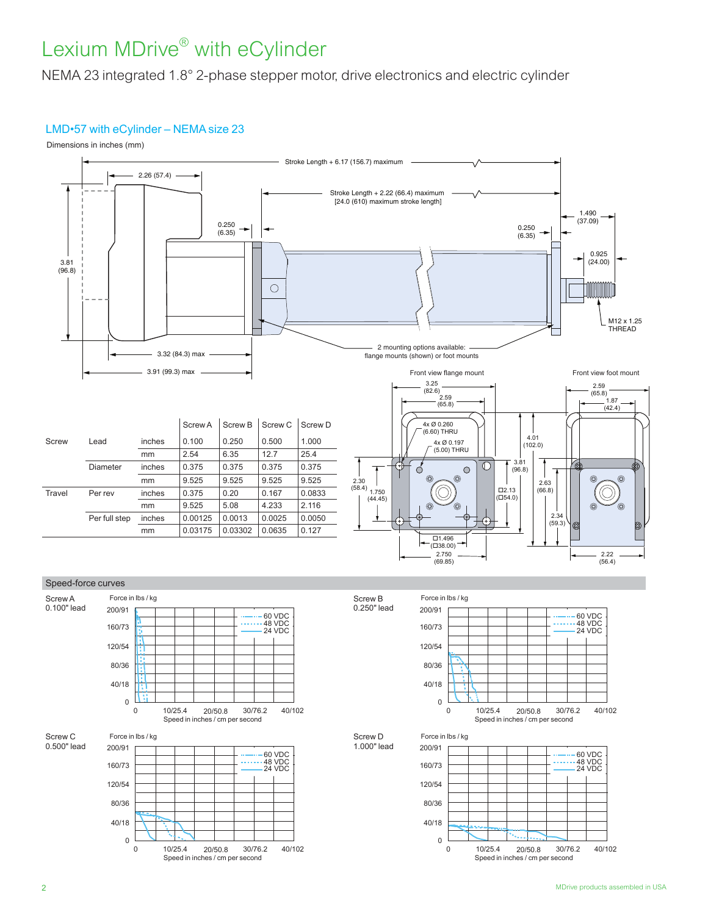NEMA 23 integrated 1.8° 2-phase stepper motor, drive electronics and electric cylinder

### LMD•57 with eCylinder – NEMA size 23

Dimensions in inches (mm)







Force in lbs / kg Speed in inches / cm per second 0 120/54 80/36 160/73 200/91 40/18 0 10/25.4 20/50.8 30/76.2 40/102 60 VDC 48 VDC 24 VDC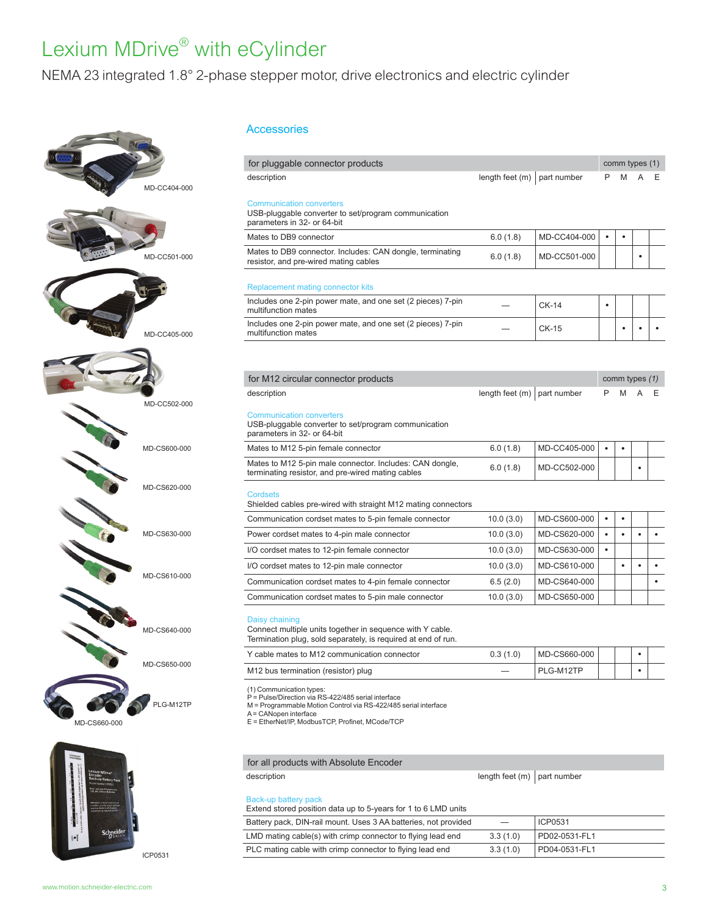NEMA 23 integrated 1.8° 2-phase stepper motor, drive electronics and electric cylinder



#### Accessories

| for pluggable connector products                                                                                                             |                   |              |           | comm types (1) |           |   |
|----------------------------------------------------------------------------------------------------------------------------------------------|-------------------|--------------|-----------|----------------|-----------|---|
| description                                                                                                                                  | length feet (m)   | part number  | P         | M              |           | Ε |
| <b>Communication converters</b><br>USB-pluggable converter to set/program communication<br>parameters in 32- or 64-bit                       |                   |              |           |                |           |   |
| Mates to DB9 connector                                                                                                                       | 6.0(1.8)          | MD-CC404-000 | $\bullet$ | $\bullet$      |           |   |
| Mates to DB9 connector. Includes: CAN dongle, terminating<br>resistor, and pre-wired mating cables                                           | 6.0(1.8)          | MD-CC501-000 |           |                |           |   |
| <b>Replacement mating connector kits</b>                                                                                                     |                   |              |           |                |           |   |
| Includes one 2-pin power mate, and one set (2 pieces) 7-pin<br>multifunction mates                                                           |                   | <b>CK-14</b> | $\bullet$ |                |           |   |
| Includes one 2-pin power mate, and one set (2 pieces) 7-pin<br>multifunction mates                                                           |                   | $CK-15$      |           | ٠              |           |   |
|                                                                                                                                              |                   |              |           |                |           |   |
| for M12 circular connector products                                                                                                          |                   |              |           | comm types (1) |           |   |
| description                                                                                                                                  | length feet $(m)$ | part number  | P         | M              |           | E |
| <b>Communication converters</b><br>USB-pluggable converter to set/program communication<br>parameters in 32- or 64-bit                       |                   |              |           |                |           |   |
| Mates to M12 5-pin female connector                                                                                                          | 6.0(1.8)          | MD-CC405-000 | ٠         | ٠              |           |   |
| Mates to M12 5-pin male connector. Includes: CAN dongle,<br>terminating resistor, and pre-wired mating cables                                | 6.0(1.8)          | MD-CC502-000 |           |                |           |   |
| <b>Cordsets</b><br>Shielded cables pre-wired with straight M12 mating connectors                                                             |                   |              |           |                |           |   |
| Communication cordset mates to 5-pin female connector                                                                                        | 10.0(3.0)         | MD-CS600-000 | $\bullet$ | $\bullet$      |           |   |
| Power cordset mates to 4-pin male connector                                                                                                  | 10.0(3.0)         | MD-CS620-000 | $\bullet$ | $\bullet$      | $\bullet$ |   |
| I/O cordset mates to 12-pin female connector                                                                                                 | 10.0(3.0)         | MD-CS630-000 | $\bullet$ |                |           |   |
| I/O cordset mates to 12-pin male connector                                                                                                   | 10.0(3.0)         | MD-CS610-000 |           | $\bullet$      |           |   |
| Communication cordset mates to 4-pin female connector                                                                                        | 6.5(2.0)          | MD-CS640-000 |           |                |           |   |
| Communication cordset mates to 5-pin male connector                                                                                          | 10.0(3.0)         | MD-CS650-000 |           |                |           |   |
| Daisy chaining<br>Connect multiple units together in sequence with Y cable.<br>Termination plug, sold separately, is required at end of run. |                   |              |           |                |           |   |
| Y cable mates to M12 communication connector                                                                                                 | 0.3(1.0)          | MD-CS660-000 |           |                | ٠         |   |
|                                                                                                                                              |                   |              |           |                |           |   |

P = Pulse/Direction via RS-422/485 serial interface M = Programmable Motion Control via RS-422/485 serial interface

A = CANopen interface

E = EtherNet/IP, ModbusTCP, Profinet, MCode/TCP



ICP0531

### for all products with Absolute Encoder

| description                                                                            | length feet $(m)$   part number |               |
|----------------------------------------------------------------------------------------|---------------------------------|---------------|
| Back-up battery pack<br>Extend stored position data up to 5-years for 1 to 6 LMD units |                                 |               |
| Battery pack, DIN-rail mount. Uses 3 AA batteries, not provided                        |                                 | ICP0531       |
| LMD mating cable(s) with crimp connector to flying lead end                            | 3.3(1.0)                        | PD02-0531-FL1 |
| PLC mating cable with crimp connector to flying lead end                               | 3.3(1.0)                        | PD04-0531-FL1 |